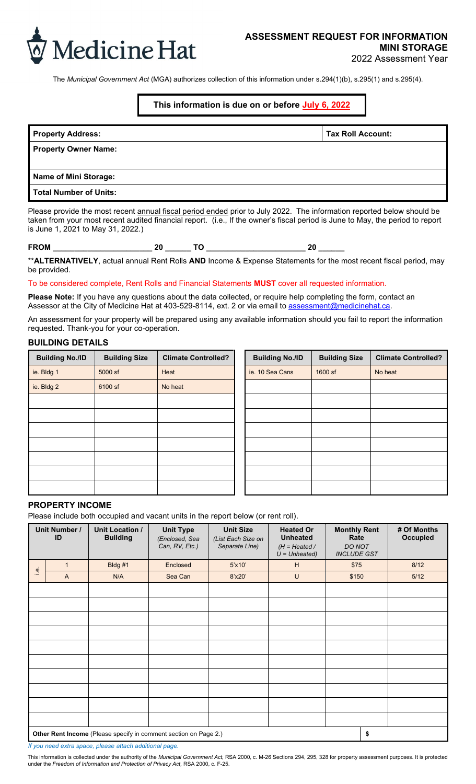

The *Municipal Government Act* (MGA) authorizes collection of this information under s.294(1)(b), s.295(1) and s.295(4).

# **This information is due on or before July 6, 2022**

| <b>Property Address:</b>      | <b>Tax Roll Account:</b> |
|-------------------------------|--------------------------|
| <b>Property Owner Name:</b>   |                          |
| Name of Mini Storage:         |                          |
| <b>Total Number of Units:</b> |                          |

Please provide the most recent annual fiscal period ended prior to July 2022. The information reported below should be taken from your most recent audited financial report. (i.e., If the owner's fiscal period is June to May, the period to report is June 1, 2021 to May 31, 2022.)

**FROM \_\_\_\_\_\_\_\_\_\_\_\_\_\_\_\_\_\_\_\_\_\_\_ 20 \_\_\_\_\_\_ TO \_\_\_\_\_\_\_\_\_\_\_\_\_\_\_\_\_\_\_\_\_\_\_ 20 \_\_\_\_\_\_**

\*\***ALTERNATIVELY**, actual annual Rent Rolls **AND** Income & Expense Statements for the most recent fiscal period, may be provided.

#### To be considered complete, Rent Rolls and Financial Statements **MUST** cover all requested information.

**Please Note:** If you have any questions about the data collected, or require help completing the form, contact an Assessor at the City of Medicine Hat at 403-529-8114, ext. 2 or via email to assessment@medicinehat.ca.

An assessment for your property will be prepared using any available information should you fail to report the information requested. Thank-you for your co-operation.

#### **BUILDING DETAILS**

| <b>Building No./ID</b> | <b>Building Size</b> | <b>Climate Controlled?</b> | <b>Building No./ID</b> | <b>Building Size</b> | <b>Climate Controlled?</b> |
|------------------------|----------------------|----------------------------|------------------------|----------------------|----------------------------|
| ie. Bldg 1             | 5000 sf              | Heat                       | ie. 10 Sea Cans        | 1600 sf              | No heat                    |
| ie. Bldg 2             | 6100 sf              | No heat                    |                        |                      |                            |
|                        |                      |                            |                        |                      |                            |
|                        |                      |                            |                        |                      |                            |
|                        |                      |                            |                        |                      |                            |
|                        |                      |                            |                        |                      |                            |
|                        |                      |                            |                        |                      |                            |
|                        |                      |                            |                        |                      |                            |
|                        |                      |                            |                        |                      |                            |

| <b>Building No./ID</b> | <b>Building Size</b> | <b>Climate Controlled?</b> |
|------------------------|----------------------|----------------------------|
| ie. 10 Sea Cans        | 1600 sf              | No heat                    |
|                        |                      |                            |
|                        |                      |                            |
|                        |                      |                            |
|                        |                      |                            |
|                        |                      |                            |
|                        |                      |                            |
|                        |                      |                            |
|                        |                      |                            |

# **PROPERTY INCOME**

Please include both occupied and vacant units in the report below (or rent roll).

|               | Unit Number /<br>ID                                                    | Unit Location /<br><b>Building</b> | <b>Unit Type</b><br>(Enclosed, Sea<br>Can, RV, Etc.) | <b>Unit Size</b><br>(List Each Size on<br>Separate Line) | <b>Heated Or</b><br><b>Unheated</b><br>$(H = Heated /$<br>$U = Unheated)$ | <b>Monthly Rent</b><br>Rate<br><b>DO NOT</b><br><b>INCLUDE GST</b> | # Of Months<br>Occupied |
|---------------|------------------------------------------------------------------------|------------------------------------|------------------------------------------------------|----------------------------------------------------------|---------------------------------------------------------------------------|--------------------------------------------------------------------|-------------------------|
|               | $\mathbf{1}$                                                           | Bldg #1                            | Enclosed                                             | $5'$ x10'                                                | H                                                                         | \$75                                                               | 8/12                    |
| $\frac{1}{2}$ | $\overline{A}$                                                         | N/A                                | Sea Can                                              | 8'x20'                                                   | U                                                                         | \$150                                                              | 5/12                    |
|               |                                                                        |                                    |                                                      |                                                          |                                                                           |                                                                    |                         |
|               |                                                                        |                                    |                                                      |                                                          |                                                                           |                                                                    |                         |
|               |                                                                        |                                    |                                                      |                                                          |                                                                           |                                                                    |                         |
|               |                                                                        |                                    |                                                      |                                                          |                                                                           |                                                                    |                         |
|               |                                                                        |                                    |                                                      |                                                          |                                                                           |                                                                    |                         |
|               |                                                                        |                                    |                                                      |                                                          |                                                                           |                                                                    |                         |
|               |                                                                        |                                    |                                                      |                                                          |                                                                           |                                                                    |                         |
|               |                                                                        |                                    |                                                      |                                                          |                                                                           |                                                                    |                         |
|               |                                                                        |                                    |                                                      |                                                          |                                                                           |                                                                    |                         |
|               |                                                                        |                                    |                                                      |                                                          |                                                                           |                                                                    |                         |
|               | \$<br>Other Rent Income (Please specify in comment section on Page 2.) |                                    |                                                      |                                                          |                                                                           |                                                                    |                         |

*If you need extra space, please attach additional page.* 

This information is collected under the authority of the *Municipal Government Act,* RSA 2000, c. M-26 Sections 294, 295, 328 for property assessment purposes. It is protected under the *Freedom of Information and Protection of Privacy Act,* RSA 2000, c. F-25.